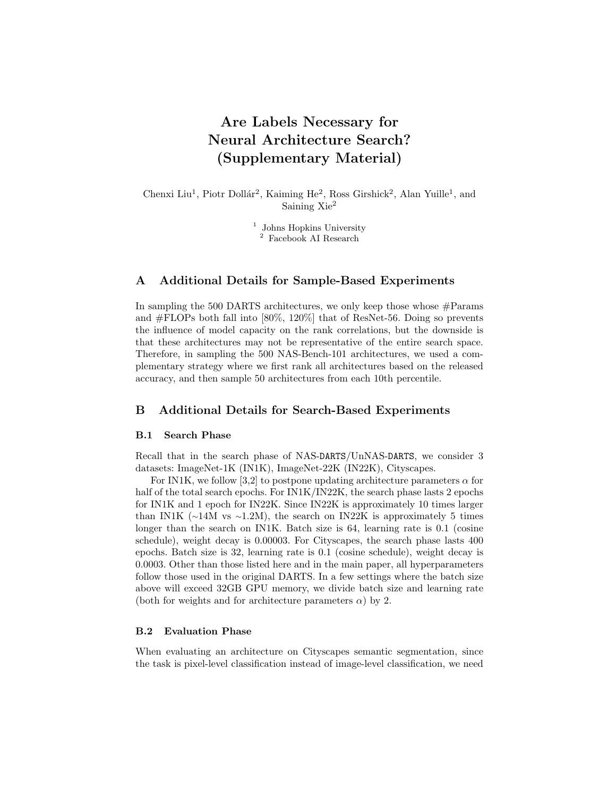# Are Labels Necessary for Neural Architecture Search? (Supplementary Material)

Chenxi Liu<sup>1</sup>, Piotr Dollár<sup>2</sup>, Kaiming He<sup>2</sup>, Ross Girshick<sup>2</sup>, Alan Yuille<sup>1</sup>, and Saining Xie<sup>2</sup>

> <sup>1</sup> Johns Hopkins University <sup>2</sup> Facebook AI Research

## A Additional Details for Sample-Based Experiments

In sampling the 500 DARTS architectures, we only keep those whose  $#$ Params and #FLOPs both fall into [80%, 120%] that of ResNet-56. Doing so prevents the influence of model capacity on the rank correlations, but the downside is that these architectures may not be representative of the entire search space. Therefore, in sampling the 500 NAS-Bench-101 architectures, we used a complementary strategy where we first rank all architectures based on the released accuracy, and then sample 50 architectures from each 10th percentile.

## B Additional Details for Search-Based Experiments

#### B.1 Search Phase

Recall that in the search phase of NAS-DARTS/UnNAS-DARTS, we consider 3 datasets: ImageNet-1K (IN1K), ImageNet-22K (IN22K), Cityscapes.

For IN1K, we follow [3,2] to postpone updating architecture parameters  $\alpha$  for half of the total search epochs. For IN1K/IN22K, the search phase lasts 2 epochs for IN1K and 1 epoch for IN22K. Since IN22K is approximately 10 times larger than IN1K ( $\sim$ 14M vs  $\sim$ 1.2M), the search on IN22K is approximately 5 times longer than the search on IN1K. Batch size is  $64$ , learning rate is 0.1 (cosine schedule), weight decay is 0.00003. For Cityscapes, the search phase lasts 400 epochs. Batch size is 32, learning rate is 0.1 (cosine schedule), weight decay is 0.0003. Other than those listed here and in the main paper, all hyperparameters follow those used in the original DARTS. In a few settings where the batch size above will exceed 32GB GPU memory, we divide batch size and learning rate (both for weights and for architecture parameters  $\alpha$ ) by 2.

### B.2 Evaluation Phase

When evaluating an architecture on Cityscapes semantic segmentation, since the task is pixel-level classification instead of image-level classification, we need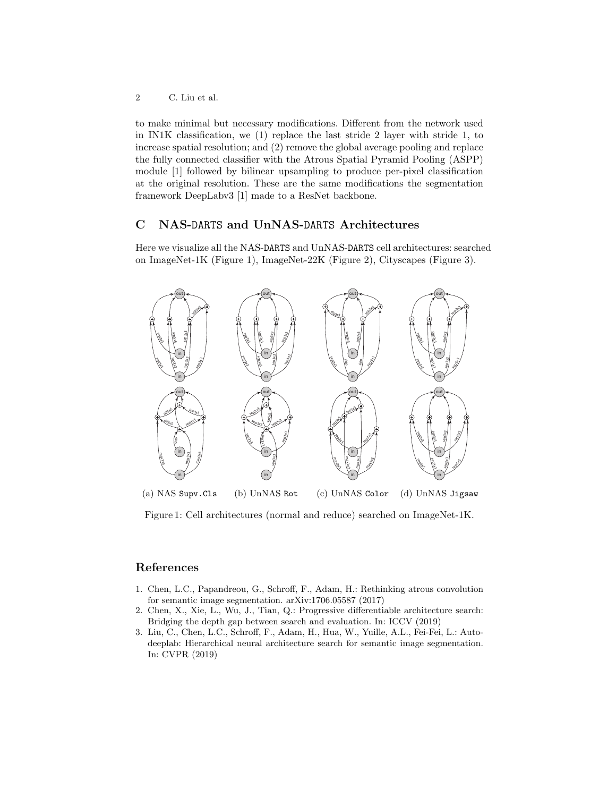to make minimal but necessary modifications. Different from the network used in IN1K classification, we (1) replace the last stride 2 layer with stride 1, to increase spatial resolution; and (2) remove the global average pooling and replace the fully connected classifier with the Atrous Spatial Pyramid Pooling (ASPP) module [1] followed by bilinear upsampling to produce per-pixel classification at the original resolution. These are the same modifications the segmentation framework DeepLabv3 [1] made to a ResNet backbone.

# C NAS-DARTS and UnNAS-DARTS Architectures

Here we visualize all the NAS-DARTS and UnNAS-DARTS cell architectures: searched on ImageNet-1K (Figure 1), ImageNet-22K (Figure 2), Cityscapes (Figure 3).



(a) NAS Supv.Cls (b) UnNAS Rot (c) UnNAS Color (d) UnNAS Jigsaw

Figure 1: Cell architectures (normal and reduce) searched on ImageNet-1K.

## References

- 1. Chen, L.C., Papandreou, G., Schroff, F., Adam, H.: Rethinking atrous convolution for semantic image segmentation. arXiv:1706.05587 (2017)
- 2. Chen, X., Xie, L., Wu, J., Tian, Q.: Progressive differentiable architecture search: Bridging the depth gap between search and evaluation. In: ICCV (2019)
- 3. Liu, C., Chen, L.C., Schroff, F., Adam, H., Hua, W., Yuille, A.L., Fei-Fei, L.: Autodeeplab: Hierarchical neural architecture search for semantic image segmentation. In: CVPR (2019)